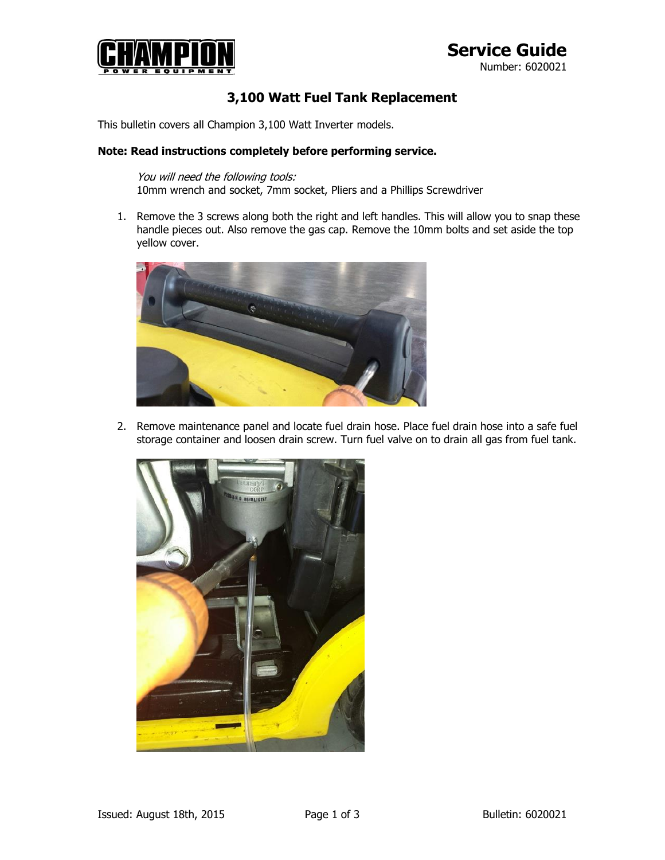

## **3,100 Watt Fuel Tank Replacement**

This bulletin covers all Champion 3,100 Watt Inverter models.

## **Note: Read instructions completely before performing service.**

You will need the following tools: 10mm wrench and socket, 7mm socket, Pliers and a Phillips Screwdriver

1. Remove the 3 screws along both the right and left handles. This will allow you to snap these handle pieces out. Also remove the gas cap. Remove the 10mm bolts and set aside the top yellow cover.



2. Remove maintenance panel and locate fuel drain hose. Place fuel drain hose into a safe fuel storage container and loosen drain screw. Turn fuel valve on to drain all gas from fuel tank.

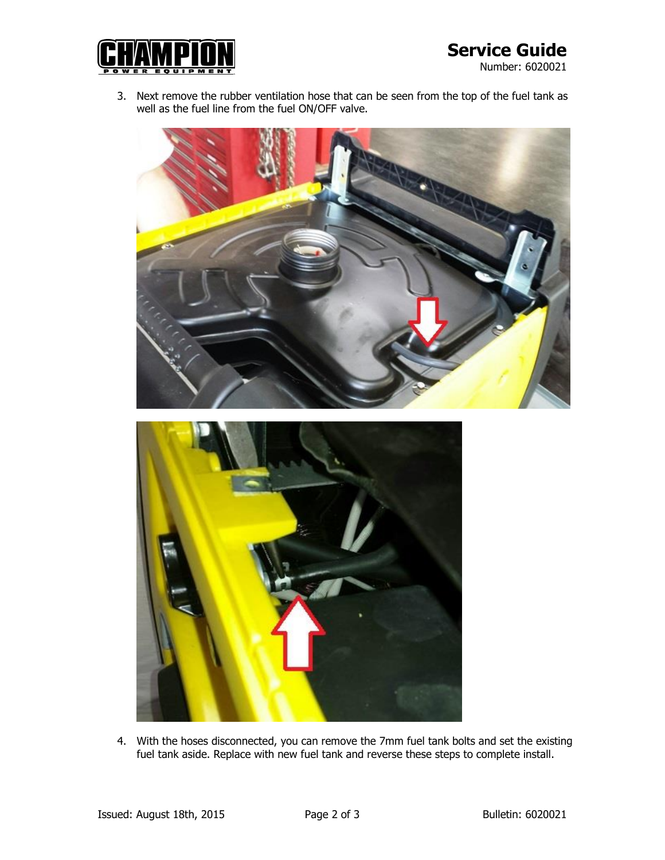## **Service Guide**



Number: 6020021

3. Next remove the rubber ventilation hose that can be seen from the top of the fuel tank as well as the fuel line from the fuel ON/OFF valve.





4. With the hoses disconnected, you can remove the 7mm fuel tank bolts and set the existing fuel tank aside. Replace with new fuel tank and reverse these steps to complete install.